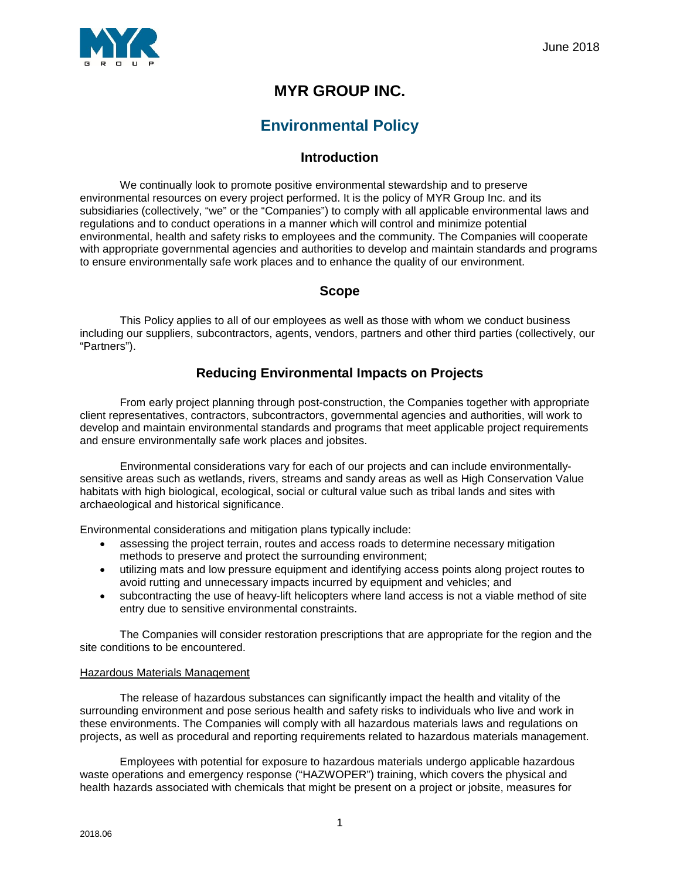

# **MYR GROUP INC.**

# **Environmental Policy**

# **Introduction**

We continually look to promote positive environmental stewardship and to preserve environmental resources on every project performed. It is the policy of MYR Group Inc. and its subsidiaries (collectively, "we" or the "Companies") to comply with all applicable environmental laws and regulations and to conduct operations in a manner which will control and minimize potential environmental, health and safety risks to employees and the community. The Companies will cooperate with appropriate governmental agencies and authorities to develop and maintain standards and programs to ensure environmentally safe work places and to enhance the quality of our environment.

# **Scope**

This Policy applies to all of our employees as well as those with whom we conduct business including our suppliers, subcontractors, agents, vendors, partners and other third parties (collectively, our "Partners").

# **Reducing Environmental Impacts on Projects**

From early project planning through post-construction, the Companies together with appropriate client representatives, contractors, subcontractors, governmental agencies and authorities, will work to develop and maintain environmental standards and programs that meet applicable project requirements and ensure environmentally safe work places and jobsites.

Environmental considerations vary for each of our projects and can include environmentallysensitive areas such as wetlands, rivers, streams and sandy areas as well as High Conservation Value habitats with high biological, ecological, social or cultural value such as tribal lands and sites with archaeological and historical significance.

Environmental considerations and mitigation plans typically include:

- assessing the project terrain, routes and access roads to determine necessary mitigation methods to preserve and protect the surrounding environment;
- utilizing mats and low pressure equipment and identifying access points along project routes to avoid rutting and unnecessary impacts incurred by equipment and vehicles; and
- subcontracting the use of heavy-lift helicopters where land access is not a viable method of site entry due to sensitive environmental constraints.

The Companies will consider restoration prescriptions that are appropriate for the region and the site conditions to be encountered.

## Hazardous Materials Management

The release of hazardous substances can significantly impact the health and vitality of the surrounding environment and pose serious health and safety risks to individuals who live and work in these environments. The Companies will comply with all hazardous materials laws and regulations on projects, as well as procedural and reporting requirements related to hazardous materials management.

Employees with potential for exposure to hazardous materials undergo applicable hazardous waste operations and emergency response ("HAZWOPER") training, which covers the physical and health hazards associated with chemicals that might be present on a project or jobsite, measures for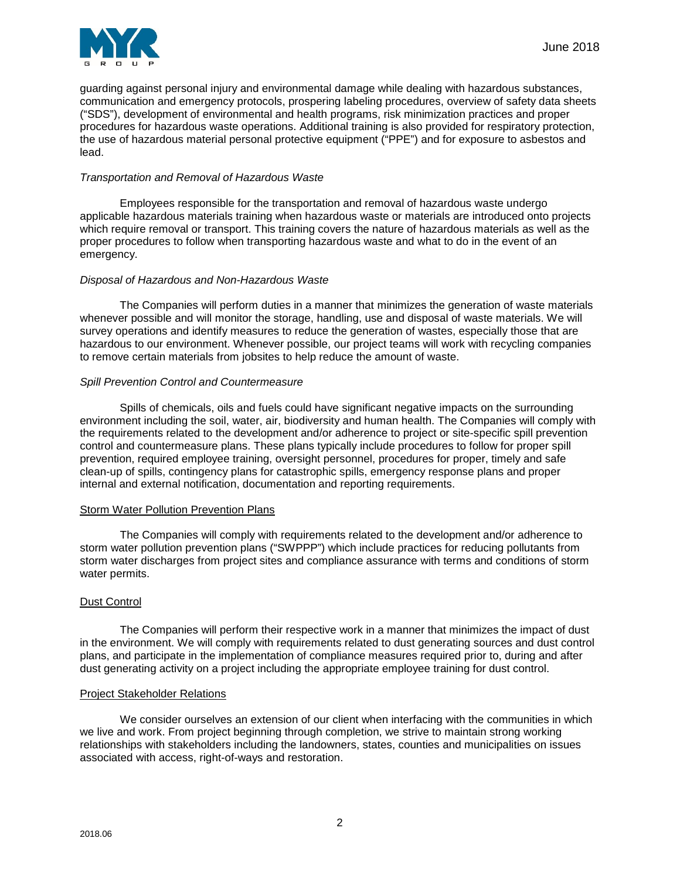

guarding against personal injury and environmental damage while dealing with hazardous substances, communication and emergency protocols, prospering labeling procedures, overview of safety data sheets ("SDS"), development of environmental and health programs, risk minimization practices and proper procedures for hazardous waste operations. Additional training is also provided for respiratory protection, the use of hazardous material personal protective equipment ("PPE") and for exposure to asbestos and lead.

## *Transportation and Removal of Hazardous Waste*

Employees responsible for the transportation and removal of hazardous waste undergo applicable hazardous materials training when hazardous waste or materials are introduced onto projects which require removal or transport. This training covers the nature of hazardous materials as well as the proper procedures to follow when transporting hazardous waste and what to do in the event of an emergency.

### *Disposal of Hazardous and Non-Hazardous Waste*

The Companies will perform duties in a manner that minimizes the generation of waste materials whenever possible and will monitor the storage, handling, use and disposal of waste materials. We will survey operations and identify measures to reduce the generation of wastes, especially those that are hazardous to our environment. Whenever possible, our project teams will work with recycling companies to remove certain materials from jobsites to help reduce the amount of waste.

## *Spill Prevention Control and Countermeasure*

Spills of chemicals, oils and fuels could have significant negative impacts on the surrounding environment including the soil, water, air, biodiversity and human health. The Companies will comply with the requirements related to the development and/or adherence to project or site-specific spill prevention control and countermeasure plans. These plans typically include procedures to follow for proper spill prevention, required employee training, oversight personnel, procedures for proper, timely and safe clean-up of spills, contingency plans for catastrophic spills, emergency response plans and proper internal and external notification, documentation and reporting requirements.

#### Storm Water Pollution Prevention Plans

The Companies will comply with requirements related to the development and/or adherence to storm water pollution prevention plans ("SWPPP") which include practices for reducing pollutants from storm water discharges from project sites and compliance assurance with terms and conditions of storm water permits.

#### Dust Control

The Companies will perform their respective work in a manner that minimizes the impact of dust in the environment. We will comply with requirements related to dust generating sources and dust control plans, and participate in the implementation of compliance measures required prior to, during and after dust generating activity on a project including the appropriate employee training for dust control.

## Project Stakeholder Relations

We consider ourselves an extension of our client when interfacing with the communities in which we live and work. From project beginning through completion, we strive to maintain strong working relationships with stakeholders including the landowners, states, counties and municipalities on issues associated with access, right-of-ways and restoration.